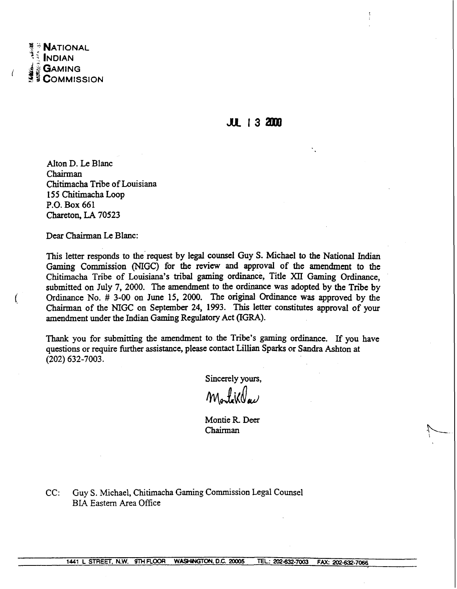

**JUL 13 2000** 

Alton D. **Le** Blanc Chairman Chitimacha Tribe of Louisiana 1 **5 5** Chitimacha Loop **P.O.** Box 661 Chareton, LA 70523

Dear Chairman **Le** Blanc:

Ĺ

This letter responds to the request by legal counsel Guy S. Michael to the National Indian **Gaming** Commission (MGC) for the review and approval of the amendment to the Chitimacha Tribe of Louisiana's tribal gaming ordinance, Title XII **Gaming** Ordinance, submitted on July 7, 2000. The amendment to the ordinance was adopted by the Tribe by Ordinance No. # 3-00 on June 15, 2000. The original Ordinance was approved by the Chairman of the NIGC on September 24, 1993. This letter constitutes approval of your amendment under the Indian **Gaming** Regulatory Act **(IGRA).** 

Thank you for submitting the amendment to the Tribe's gaming ordinance. If you have questions or require further assistance, please contact Lillian Sparks or Sandra Ashton at (202) 632-7003.

Sincerely yours,

Mortiklau

Montie **R** Deer Chairman

CC: Guy S. Michael, Chitimacha Gaming Commission Legal Counsel BLA Eastern Area Office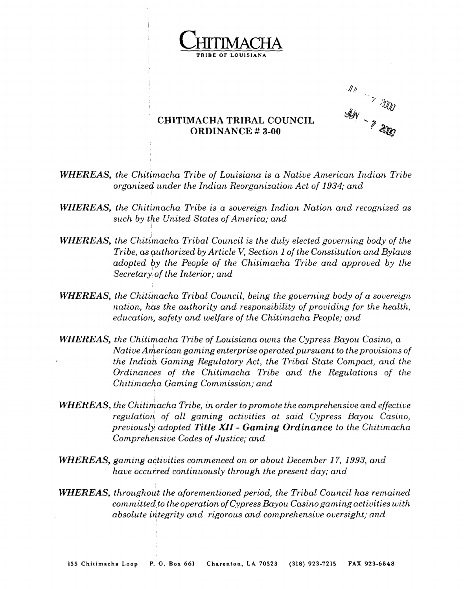

? I -:t@ **ORDINANCE** # **3-00 !7** \*

## **CHITIMACHA TRIBAL COUNCIL**

- **WHEREAS,** *the Chitimacha Tribe of Louisiana is a Native American Indian Tribe organized under the Indian Reorganization Act of 1934; and*
- **WHEREAS,** *the Chitimacha Tribe is a sovereign Indian Nation and recognized as such by the United States of America; and*
- **WHEREAS,** *the Chitimacha Tribal Council is the duly elected governing body of the Tribe, as authorized by Article V, Section 1 of the Constitution and Bylaws adopted by the People of the Chitimacha Tribe and approved by the Secretary' of the Interior; and*
- **WHEREAS,** the Chitimacha Tribal Council, being the governing body of a sovereign *nation, has the authority and responsibility of providing for the health, education, safety and welfare of the Chitimacha People; and*
- **WHEREAS,** the Chitimacha Tribe of Louisiana owns the Cypress Bayou Casino, a *Native American gaming enterprise operated pursuant to the provisions of the Indian Gaming Regulatory Act, the Tribal State Compact, and the Ordinances of the Chitirnacha Tribe and the Regulations of the chitimacho Gaming Commission; and*
- **WHEREAS,** *the Chitimacha Tribe, in order to promote the comprehensive and effective regulation of all gaming activities at said Cypress Bayou Casino, previously adopted Title XI* - *Gaming Ordinance to the Chitimacha Comprehensive Codes of Justice; and*
- **WHEREAS,** gaming activities commenced on or about December 17, 1993, and *have occurred continuously through the present day; and*
- **WHEREAS,** *throughout the aforementioned period, the Tribal Council has remained committed to the operation of Cypress Bayou Casino gaming activities with absolute idtegrity and rigorous and comprehensive oversight; and*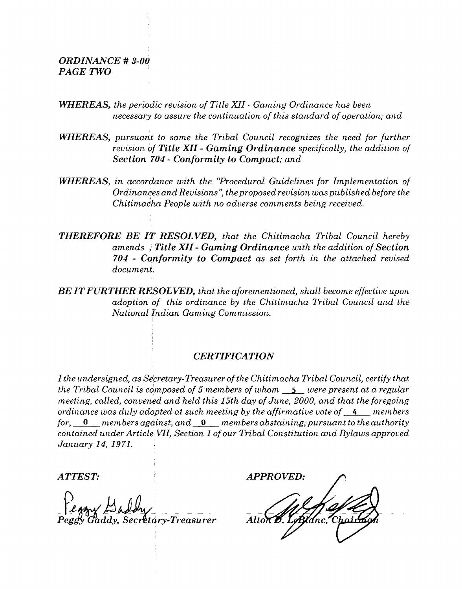## *ORDINANCE* # *3-00 PAGE TWO*

- **WHEREAS, the periodic revision of Title XII Gaming Ordinance has been** *necessary to assure the continuation of this standard of operation; and*
- *WHEREAS, pursuant to same the Tribal Council recognizes the need for further revision of Title XI1* - *Gaming Ordinance specifically, the addition of Section 704* - *Conformity to Compact; and*
- **WHEREAS**, in accordance with the "Procedural Guidelines for Implementation of *Ordinances and Revisions': the proposed revisior~ was published before the chitimadha People with no adverse comments being received.*
- *THEREFORE BE IT RESOLVED, that the Chitirnacha Tribal Council hereby amends* ; *Title XII* - *Gaming Ordinance with the addition of Section 704* - *Conformity to Compact as set forth in the attached revised document.*
- *BE IT FURTHER RESOLVED, that the aforementioned, shall become effective upon*  adoption of this ordinance by the Chitimacha Tribal Council and the *National Indian Gaming Commission.*

## <sup>I</sup>*CERTIFICATION*

*I the undersigned, as Secretary-Treasurer of the Chitimacha Tribal Council, certify that the Tribal Council is composed of 5 members of whom* **5** *were present at a regular meeting, called, convened and held this 15th day of June, 2000, and that the foregoing ordinance was duly adopted at such meeting by the affirmative vote of* **4** *members for,* **0** *members agciinst, and* **0** *members abstaining;pursuant to the authority contained under Article VII, Section 1 of our Tribal Constitution and Bylaws approved January 14, 1971.* 

*dy, sec&tary-~reasurer* 

*ATTEST: APPROVED:*   $Although 8.$ **LeBldnc**.